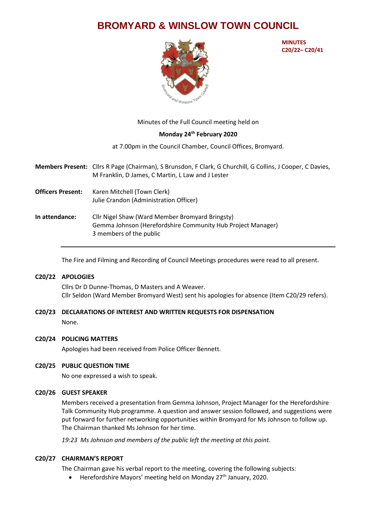# **BROMYARD & WINSLOW TOWN COUNCIL**



**MINUTES C20/22– C20/41**

Minutes of the Full Council meeting held on

# **Monday 24th February 2020**

at 7.00pm in the Council Chamber, Council Offices, Bromyard.

**Members Present:** Cllrs R Page (Chairman), S Brunsdon, F Clark, G Churchill, G Collins, J Cooper, C Davies, M Franklin, D James, C Martin, L Law and J Lester

- **Officers Present:** Karen Mitchell (Town Clerk) Julie Crandon (Administration Officer)
- **In attendance:** Cllr Nigel Shaw (Ward Member Bromyard Bringsty) Gemma Johnson (Herefordshire Community Hub Project Manager) 3 members of the public

The Fire and Filming and Recording of Council Meetings procedures were read to all present.

## **C20/22 APOLOGIES**

Cllrs Dr D Dunne-Thomas, D Masters and A Weaver. Cllr Seldon (Ward Member Bromyard West) sent his apologies for absence (Item C20/29 refers).

# **C20/23 DECLARATIONS OF INTEREST AND WRITTEN REQUESTS FOR DISPENSATION** None.

## **C20/24 POLICING MATTERS**

Apologies had been received from Police Officer Bennett.

## **C20/25 PUBLIC QUESTION TIME**

No one expressed a wish to speak.

## **C20/26 GUEST SPEAKER**

Members received a presentation from Gemma Johnson, Project Manager for the Herefordshire Talk Community Hub programme. A question and answer session followed, and suggestions were put forward for further networking opportunities within Bromyard for Ms Johnson to follow up. The Chairman thanked Ms Johnson for her time.

*19:23 Ms Johnson and members of the public left the meeting at this point.*

## **C20/27 CHAIRMAN'S REPORT**

The Chairman gave his verbal report to the meeting, covering the following subjects:

• Herefordshire Mayors' meeting held on Monday 27<sup>th</sup> January, 2020.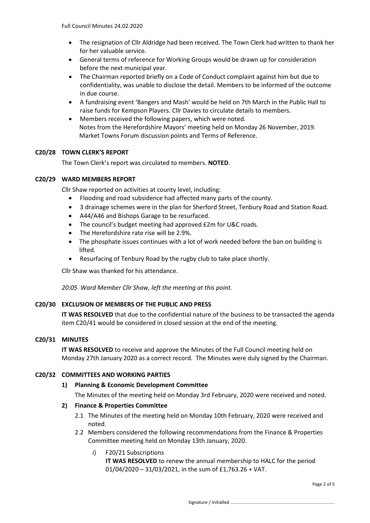- The resignation of Cllr Aldridge had been received. The Town Clerk had written to thank her for her valuable service.
- General terms of reference for Working Groups would be drawn up for consideration before the next municipal year.
- The Chairman reported briefly on a Code of Conduct complaint against him but due to confidentiality, was unable to disclose the detail. Members to be informed of the outcome in due course.
- A fundraising event 'Bangers and Mash' would be held on 7th March in the Public Hall to raise funds for Kempson Players. Cllr Davies to circulate details to members.
- Members received the following papers, which were noted. Notes from the Herefordshire Mayors' meeting held on Monday 26 November, 2019. Market Towns Forum discussion points and Terms of Reference.

# **C20/28 TOWN CLERK'S REPORT**

The Town Clerk's report was circulated to members. **NOTED**.

# **C20/29 WARD MEMBERS REPORT**

Cllr Shaw reported on activities at county level, including:

- Flooding and road subsidence had affected many parts of the county.
- 3 drainage schemes were in the plan for Sherford Street, Tenbury Road and Station Road.
- A44/A46 and Bishops Garage to be resurfaced.
- The council's budget meeting had approved £2m for U&C roads.
- The Herefordshire rate rise will be 2.9%.
- The phosphate issues continues with a lot of work needed before the ban on building is lifted.
- Resurfacing of Tenbury Road by the rugby club to take place shortly.

Cllr Shaw was thanked for his attendance.

*20:05 Ward Member Cllr Shaw, left the meeting at this point.*

# **C20/30 EXCLUSION OF MEMBERS OF THE PUBLIC AND PRESS**

**IT WAS RESOLVED** that due to the confidential nature of the business to be transacted the agenda item C20/41 would be considered in closed session at the end of the meeting.

## **C20/31 MINUTES**

**IT WAS RESOLVED** to receive and approve the Minutes of the Full Council meeting held on Monday 27th January 2020 as a correct record. The Minutes were duly signed by the Chairman.

# **C20/32 COMMITTEES AND WORKING PARTIES**

# **1) Planning & Economic Development Committee**

The Minutes of the meeting held on Monday 3rd February, 2020 were received and noted.

# **2) Finance & Properties Committee**

- 2.1 The Minutes of the meeting held on Monday 10th February, 2020 were received and noted.
- 2.2 Members considered the following recommendations from the Finance & Properties Committee meeting held on Monday 13th January, 2020.
	- i) F20/21 Subscriptions

**IT WAS RESOLVED** to renew the annual membership to HALC for the period 01/04/2020 – 31/03/2021, in the sum of £1,763.26 + VAT.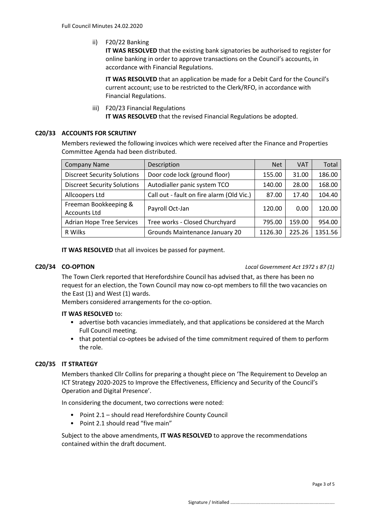ii) F20/22 Banking

**IT WAS RESOLVED** that the existing bank signatories be authorised to register for online banking in order to approve transactions on the Council's accounts, in accordance with Financial Regulations.

**IT WAS RESOLVED** that an application be made for a Debit Card for the Council's current account; use to be restricted to the Clerk/RFO, in accordance with Financial Regulations.

iii) F20/23 Financial Regulations

**IT WAS RESOLVED** that the revised Financial Regulations be adopted.

# **C20/33 ACCOUNTS FOR SCRUTINY**

Members reviewed the following invoices which were received after the Finance and Properties Committee Agenda had been distributed.

| <b>Company Name</b>                          | Description                               | <b>Net</b> | <b>VAT</b> | Total   |
|----------------------------------------------|-------------------------------------------|------------|------------|---------|
| <b>Discreet Security Solutions</b>           | Door code lock (ground floor)             | 155.00     | 31.00      | 186.00  |
| <b>Discreet Security Solutions</b>           | Autodialler panic system TCO              | 140.00     | 28.00      | 168.00  |
| Allcoopers Ltd                               | Call out - fault on fire alarm (Old Vic.) | 87.00      | 17.40      | 104.40  |
| Freeman Bookkeeping &<br><b>Accounts Ltd</b> | Payroll Oct-Jan                           | 120.00     | 0.00       | 120.00  |
| <b>Adrian Hope Tree Services</b>             | Tree works - Closed Churchyard            | 795.00     | 159.00     | 954.00  |
| R Wilks                                      | Grounds Maintenance January 20            | 1126.30    | 225.26     | 1351.56 |

**IT WAS RESOLVED** that all invoices be passed for payment.

**C20/34 CO-OPTION** *Local Government Act 1972 s 87 (1)*

The Town Clerk reported that Herefordshire Council has advised that, as there has been no request for an election, the Town Council may now co-opt members to fill the two vacancies on the East (1) and West (1) wards.

Members considered arrangements for the co-option.

# **IT WAS RESOLVED** to:

- advertise both vacancies immediately, and that applications be considered at the March Full Council meeting.
- that potential co-optees be advised of the time commitment required of them to perform the role.

# **C20/35 IT STRATEGY**

Members thanked Cllr Collins for preparing a thought piece on 'The Requirement to Develop an ICT Strategy 2020-2025 to Improve the Effectiveness, Efficiency and Security of the Council's Operation and Digital Presence'.

In considering the document, two corrections were noted:

- Point 2.1 should read Herefordshire County Council
- Point 2.1 should read "five main"

Subject to the above amendments, **IT WAS RESOLVED** to approve the recommendations contained within the draft document.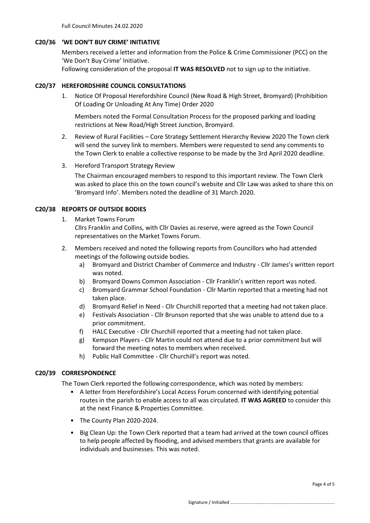Full Council Minutes 24.02.2020

#### **C20/36 'WE DON'T BUY CRIME' INITIATIVE**

Members received a letter and information from the Police & Crime Commissioner (PCC) on the 'We Don't Buy Crime' Initiative.

Following consideration of the proposal **IT WAS RESOLVED** not to sign up to the initiative.

#### **C20/37 HEREFORDSHIRE COUNCIL CONSULTATIONS**

1. Notice Of Proposal Herefordshire Council (New Road & High Street, Bromyard) (Prohibition Of Loading Or Unloading At Any Time) Order 2020

Members noted the Formal Consultation Process for the proposed parking and loading restrictions at New Road/High Street Junction, Bromyard.

- 2. Review of Rural Facilities Core Strategy Settlement Hierarchy Review 2020 The Town clerk will send the survey link to members. Members were requested to send any comments to the Town Clerk to enable a collective response to be made by the 3rd April 2020 deadline.
- 3. Hereford Transport Strategy Review

The Chairman encouraged members to respond to this important review. The Town Clerk was asked to place this on the town council's website and Cllr Law was asked to share this on 'Bromyard Info'. Members noted the deadline of 31 March 2020.

#### **C20/38 REPORTS OF OUTSIDE BODIES**

1. Market Towns Forum

Cllrs Franklin and Collins, with Cllr Davies as reserve, were agreed as the Town Council representatives on the Market Towns Forum.

- 2. Members received and noted the following reports from Councillors who had attended meetings of the following outside bodies.
	- a) Bromyard and District Chamber of Commerce and Industry Cllr James's written report was noted.
	- b) Bromyard Downs Common Association Cllr Franklin's written report was noted.
	- c) Bromyard Grammar School Foundation Cllr Martin reported that a meeting had not taken place.
	- d) Bromyard Relief in Need Cllr Churchill reported that a meeting had not taken place.
	- e) Festivals Association Cllr Brunson reported that she was unable to attend due to a prior commitment.
	- f) HALC Executive Cllr Churchill reported that a meeting had not taken place.
	- g) Kempson Players Cllr Martin could not attend due to a prior commitment but will forward the meeting notes to members when received.
	- h) Public Hall Committee Cllr Churchill's report was noted.

## **C20/39 CORRESPONDENCE**

The Town Clerk reported the following correspondence, which was noted by members:

- A letter from Herefordshire's Local Access Forum concerned with identifying potential routes in the parish to enable access to all was circulated. **IT WAS AGREED** to consider this at the next Finance & Properties Committee.
- The County Plan 2020-2024.
- Big Clean Up: the Town Clerk reported that a team had arrived at the town council offices to help people affected by flooding, and advised members that grants are available for individuals and businesses. This was noted.